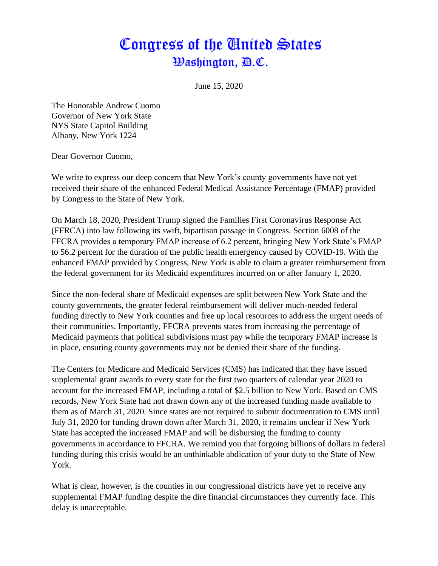## Congress of the United States *Washington, B.C.*

June 15, 2020

The Honorable Andrew Cuomo Governor of New York State NYS State Capitol Building Albany, New York 1224

Dear Governor Cuomo,

We write to express our deep concern that New York's county governments have not yet received their share of the enhanced Federal Medical Assistance Percentage (FMAP) provided by Congress to the State of New York.

On March 18, 2020, President Trump signed the Families First Coronavirus Response Act (FFRCA) into law following its swift, bipartisan passage in Congress. Section 6008 of the FFCRA provides a temporary FMAP increase of 6.2 percent, bringing New York State's FMAP to 56.2 percent for the duration of the public health emergency caused by COVID-19. With the enhanced FMAP provided by Congress, New York is able to claim a greater reimbursement from the federal government for its Medicaid expenditures incurred on or after January 1, 2020.

Since the non-federal share of Medicaid expenses are split between New York State and the county governments, the greater federal reimbursement will deliver much-needed federal funding directly to New York counties and free up local resources to address the urgent needs of their communities. Importantly, FFCRA prevents states from increasing the percentage of Medicaid payments that political subdivisions must pay while the temporary FMAP increase is in place, ensuring county governments may not be denied their share of the funding.

The Centers for Medicare and Medicaid Services (CMS) has indicated that they have issued supplemental grant awards to every state for the first two quarters of calendar year 2020 to account for the increased FMAP, including a total of \$2.5 billion to New York. Based on CMS records, New York State had not drawn down any of the increased funding made available to them as of March 31, 2020. Since states are not required to submit documentation to CMS until July 31, 2020 for funding drawn down after March 31, 2020, it remains unclear if New York State has accepted the increased FMAP and will be disbursing the funding to county governments in accordance to FFCRA. We remind you that forgoing billions of dollars in federal funding during this crisis would be an unthinkable abdication of your duty to the State of New York.

What is clear, however, is the counties in our congressional districts have yet to receive any supplemental FMAP funding despite the dire financial circumstances they currently face. This delay is unacceptable.